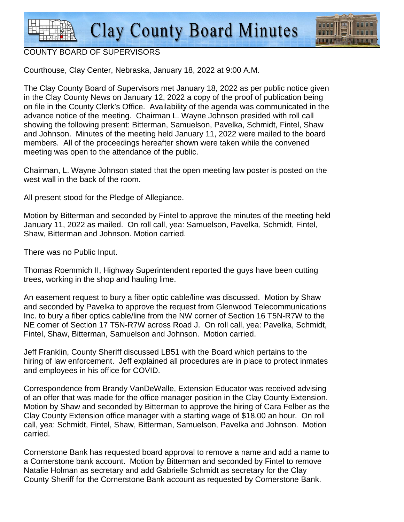

## COUNTY BOARD OF SUPERVISORS

Courthouse, Clay Center, Nebraska, January 18, 2022 at 9:00 A.M.

The Clay County Board of Supervisors met January 18, 2022 as per public notice given in the Clay County News on January 12, 2022 a copy of the proof of publication being on file in the County Clerk's Office. Availability of the agenda was communicated in the advance notice of the meeting. Chairman L. Wayne Johnson presided with roll call showing the following present: Bitterman, Samuelson, Pavelka, Schmidt, Fintel, Shaw and Johnson. Minutes of the meeting held January 11, 2022 were mailed to the board members. All of the proceedings hereafter shown were taken while the convened meeting was open to the attendance of the public.

Chairman, L. Wayne Johnson stated that the open meeting law poster is posted on the west wall in the back of the room.

All present stood for the Pledge of Allegiance.

Motion by Bitterman and seconded by Fintel to approve the minutes of the meeting held January 11, 2022 as mailed. On roll call, yea: Samuelson, Pavelka, Schmidt, Fintel, Shaw, Bitterman and Johnson. Motion carried.

There was no Public Input.

Thomas Roemmich II, Highway Superintendent reported the guys have been cutting trees, working in the shop and hauling lime.

An easement request to bury a fiber optic cable/line was discussed. Motion by Shaw and seconded by Pavelka to approve the request from Glenwood Telecommunications Inc. to bury a fiber optics cable/line from the NW corner of Section 16 T5N-R7W to the NE corner of Section 17 T5N-R7W across Road J. On roll call, yea: Pavelka, Schmidt, Fintel, Shaw, Bitterman, Samuelson and Johnson. Motion carried.

Jeff Franklin, County Sheriff discussed LB51 with the Board which pertains to the hiring of law enforcement. Jeff explained all procedures are in place to protect inmates and employees in his office for COVID.

Correspondence from Brandy VanDeWalle, Extension Educator was received advising of an offer that was made for the office manager position in the Clay County Extension. Motion by Shaw and seconded by Bitterman to approve the hiring of Cara Felber as the Clay County Extension office manager with a starting wage of \$18.00 an hour. On roll call, yea: Schmidt, Fintel, Shaw, Bitterman, Samuelson, Pavelka and Johnson. Motion carried.

Cornerstone Bank has requested board approval to remove a name and add a name to a Cornerstone bank account. Motion by Bitterman and seconded by Fintel to remove Natalie Holman as secretary and add Gabrielle Schmidt as secretary for the Clay County Sheriff for the Cornerstone Bank account as requested by Cornerstone Bank.